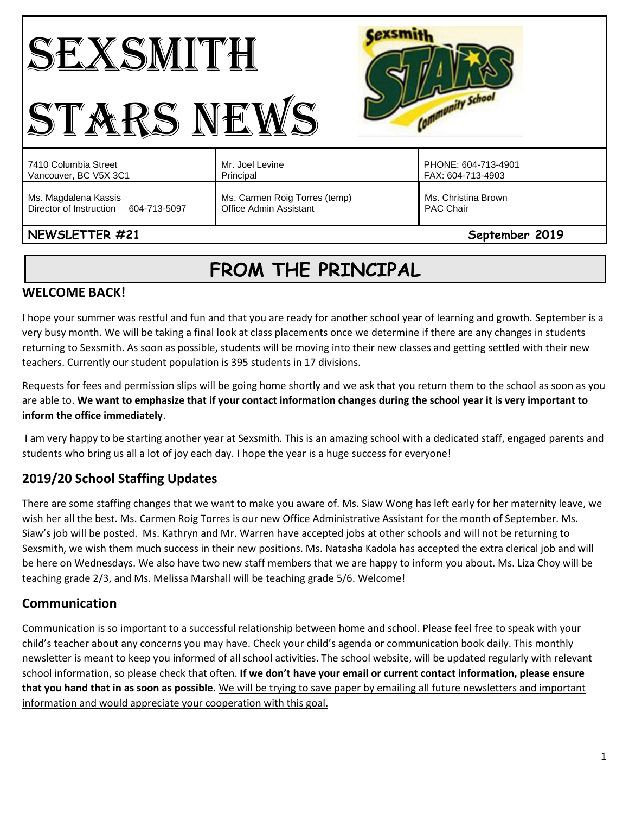# SEXSMITH STARS NEWS



| 7410 Columbia Street<br>Vancouver, BC V5X 3C1                   | Mr. Joel Levine<br>Principal                            | PHONE: 604-713-4901<br>FAX: 604-713-4903 |
|-----------------------------------------------------------------|---------------------------------------------------------|------------------------------------------|
| Ms. Magdalena Kassis<br>Director of Instruction<br>604-713-5097 | Ms. Carmen Roig Torres (temp)<br>Office Admin Assistant | Ms. Christina Brown<br><b>PAC Chair</b>  |
|                                                                 |                                                         |                                          |

## **NEWSLETTER #21** September 2019

## **FROM THE PRINCIPAL**

## **WELCOME BACK!**

I hope your summer was restful and fun and that you are ready for another school year of learning and growth. September is a very busy month. We will be taking a final look at class placements once we determine if there are any changes in students returning to Sexsmith. As soon as possible, students will be moving into their new classes and getting settled with their new teachers. Currently our student population is 395 students in 17 divisions.

Requests for fees and permission slips will be going home shortly and we ask that you return them to the school as soon as you are able to. **We want to emphasize that if your contact information changes during the school year it is very important to inform the office immediately**.

I am very happy to be starting another year at Sexsmith. This is an amazing school with a dedicated staff, engaged parents and students who bring us all a lot of joy each day. I hope the year is a huge success for everyone!

## **2019/20 School Staffing Updates**

There are some staffing changes that we want to make you aware of. Ms. Siaw Wong has left early for her maternity leave, we wish her all the best. Ms. Carmen Roig Torres is our new Office Administrative Assistant for the month of September. Ms. Siaw's job will be posted. Ms. Kathryn and Mr. Warren have accepted jobs at other schools and will not be returning to Sexsmith, we wish them much success in their new positions. Ms. Natasha Kadola has accepted the extra clerical job and will be here on Wednesdays. We also have two new staff members that we are happy to inform you about. Ms. Liza Choy will be teaching grade 2/3, and Ms. Melissa Marshall will be teaching grade 5/6. Welcome!

## **Communication**

Communication is so important to a successful relationship between home and school. Please feel free to speak with your child's teacher about any concerns you may have. Check your child's agenda or communication book daily. This monthly newsletter is meant to keep you informed of all school activities. The school website, will be updated regularly with relevant school information, so please check that often. **If we don't have your email or current contact information, please ensure that you hand that in as soon as possible.** We will be trying to save paper by emailing all future newsletters and important information and would appreciate your cooperation with this goal.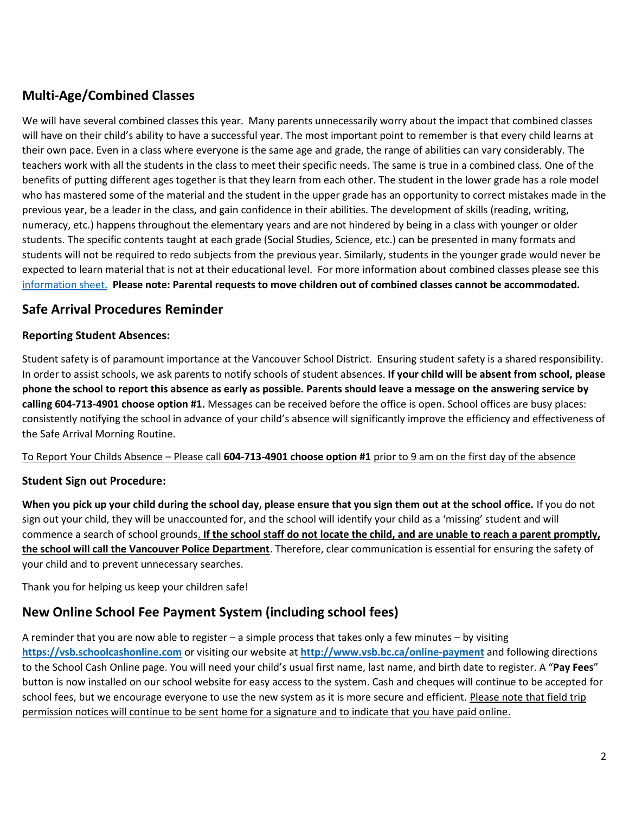## **Multi-Age/Combined Classes**

We will have several combined classes this year. Many parents unnecessarily worry about the impact that combined classes will have on their child's ability to have a successful year. The most important point to remember is that every child learns at their own pace. Even in a class where everyone is the same age and grade, the range of abilities can vary considerably. The teachers work with all the students in the class to meet their specific needs. The same is true in a combined class. One of the benefits of putting different ages together is that they learn from each other. The student in the lower grade has a role model who has mastered some of the material and the student in the upper grade has an opportunity to correct mistakes made in the previous year, be a leader in the class, and gain confidence in their abilities. The development of skills (reading, writing, numeracy, etc.) happens throughout the elementary years and are not hindered by being in a class with younger or older students. The specific contents taught at each grade (Social Studies, Science, etc.) can be presented in many formats and students will not be required to redo subjects from the previous year. Similarly, students in the younger grade would never be expected to learn material that is not at their educational level. For more information about combined classes please see this [information sheet.](http://go.vsb.bc.ca/schools/sxs/Publications/Multi-Age%20Classes.pdf) **Please note: Parental requests to move children out of combined classes cannot be accommodated.** 

### **Safe Arrival Procedures Reminder**

#### **Reporting Student Absences:**

Student safety is of paramount importance at the Vancouver School District. Ensuring student safety is a shared responsibility. In order to assist schools, we ask parents to notify schools of student absences. **If your child will be absent from school, please phone the school to report this absence as early as possible. Parents should leave a message on the answering service by calling 604-713-4901 choose option #1.** Messages can be received before the office is open. School offices are busy places: consistently notifying the school in advance of your child's absence will significantly improve the efficiency and effectiveness of the Safe Arrival Morning Routine.

#### To Report Your Childs Absence – Please call **604-713-4901 choose option #1** prior to 9 am on the first day of the absence

#### **Student Sign out Procedure:**

**When you pick up your child during the school day, please ensure that you sign them out at the school office.** If you do not sign out your child, they will be unaccounted for, and the school will identify your child as a 'missing' student and will commence a search of school grounds. **If the school staff do not locate the child, and are unable to reach a parent promptly, the school will call the Vancouver Police Department**. Therefore, clear communication is essential for ensuring the safety of your child and to prevent unnecessary searches.

Thank you for helping us keep your children safe!

## **New Online School Fee Payment System (including school fees)**

A reminder that you are now able to register – a simple process that takes only a few minutes – by visiting **[https://vsb.schoolcashonline.com](https://vsb.schoolcashonline.com/)** or visiting our website at **<http://www.vsb.bc.ca/online-payment>** and following directions to the School Cash Online page. You will need your child's usual first name, last name, and birth date to register. A "**Pay Fees**" button is now installed on our school website for easy access to the system. Cash and cheques will continue to be accepted for school fees, but we encourage everyone to use the new system as it is more secure and efficient. Please note that field trip permission notices will continue to be sent home for a signature and to indicate that you have paid online.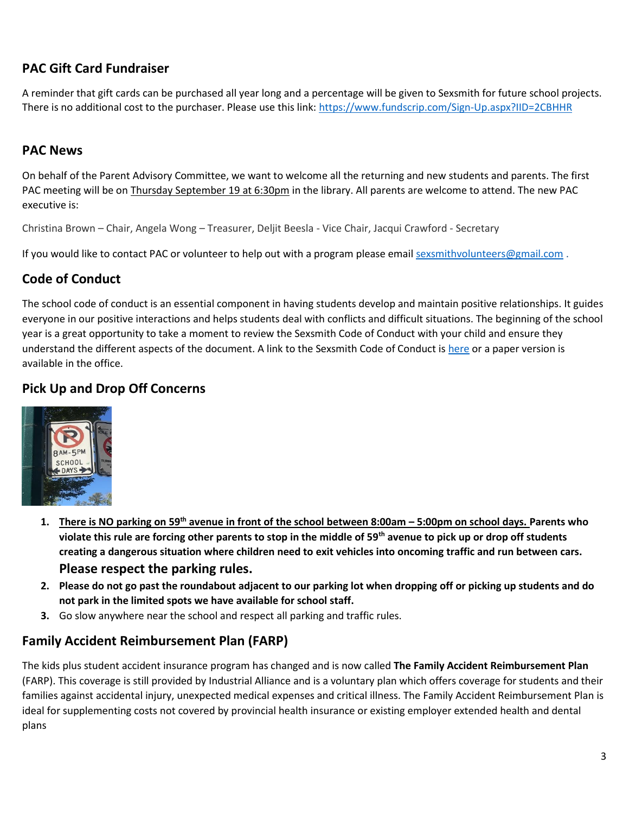## **PAC Gift Card Fundraiser**

A reminder that gift cards can be purchased all year long and a percentage will be given to Sexsmith for future school projects. There is no additional cost to the purchaser. Please use this link:<https://www.fundscrip.com/Sign-Up.aspx?IID=2CBHHR>

## **PAC News**

On behalf of the Parent Advisory Committee, we want to welcome all the returning and new students and parents. The first PAC meeting will be on Thursday September 19 at 6:30pm in the library. All parents are welcome to attend. The new PAC executive is:

Christina Brown – Chair, Angela Wong – Treasurer, Deljit Beesla - Vice Chair, Jacqui Crawford - Secretary

If you would like to contact PAC or volunteer to help out with a program please email [sexsmithvolunteers@gmail.com](mailto:sexsmithvolunteers@gmail.com).

## **Code of Conduct**

The school code of conduct is an essential component in having students develop and maintain positive relationships. It guides everyone in our positive interactions and helps students deal with conflicts and difficult situations. The beginning of the school year is a great opportunity to take a moment to review the Sexsmith Code of Conduct with your child and ensure they understand the different aspects of the document. A link to the Sexsmith Code of Conduct is [here](http://go.vsb.bc.ca/schools/sxs/About/Documents/Code%20of%20Conduct.pdf) or a paper version is available in the office.

## **Pick Up and Drop Off Concerns**



- **1. There is NO parking on 59th avenue in front of the school between 8:00am – 5:00pm on school days. Parents who violate this rule are forcing other parents to stop in the middle of 59th avenue to pick up or drop off students creating a dangerous situation where children need to exit vehicles into oncoming traffic and run between cars. Please respect the parking rules.**
- **2. Please do not go past the roundabout adjacent to our parking lot when dropping off or picking up students and do not park in the limited spots we have available for school staff.**
- **3.** Go slow anywhere near the school and respect all parking and traffic rules.

## **Family Accident Reimbursement Plan (FARP)**

The kids plus student accident insurance program has changed and is now called **The Family Accident Reimbursement Plan** (FARP). This coverage is still provided by Industrial Alliance and is a voluntary plan which offers coverage for students and their families against accidental injury, unexpected medical expenses and critical illness. The Family Accident Reimbursement Plan is ideal for supplementing costs not covered by provincial health insurance or existing employer extended health and dental plans